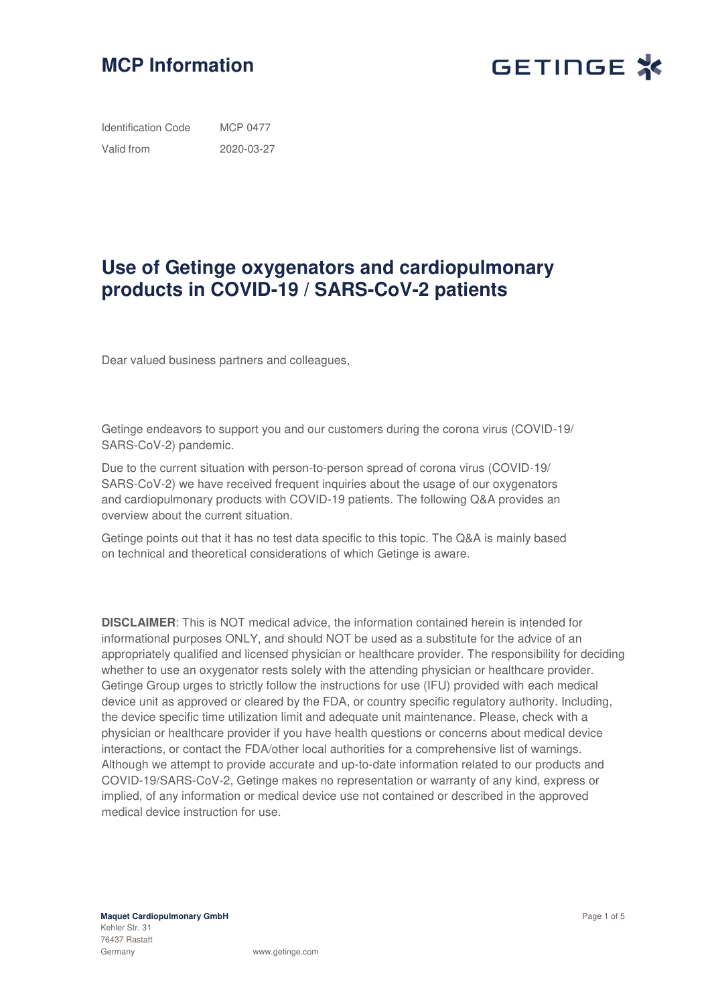



Identification Code Valid from MCP 0477 2020-03-27

# **Use of Getinge oxygenators and cardiopulmonary products in COVID-19 / SARS-CoV-2 patients**

Dear valued business partners and colleagues,

Getinge endeavors to support you and our customers during the corona virus (COVID-19/ SARS-CoV-2) pandemic.

Due to the current situation with person-to-person spread of corona virus (COVID-19/ SARS-CoV-2) we have received frequent inquiries about the usage of our oxygenators and cardiopulmonary products with COVID-19 patients. The following Q&A provides an overview about the current situation.

Getinge points out that it has no test data specific to this topic. The Q&A is mainly based on technical and theoretical considerations of which Getinge is aware.

**DISCLAIMER**: This is NOT medical advice, the information contained herein is intended for informational purposes ONLY, and should NOT be used as a substitute for the advice of an appropriately qualified and licensed physician or healthcare provider. The responsibility for deciding whether to use an oxygenator rests solely with the attending physician or healthcare provider. Getinge Group urges to strictly follow the instructions for use (IFU) provided with each medical device unit as approved or cleared by the FDA, or country specific regulatory authority. Including, the device specific time utilization limit and adequate unit maintenance. Please, check with a physician or healthcare provider if you have health questions or concerns about medical device interactions, or contact the FDA/other local authorities for a comprehensive list of warnings. Although we attempt to provide accurate and up-to-date information related to our products and COVID-19/SARS-CoV-2, Getinge makes no representation or warranty of any kind, express or implied, of any information or medical device use not contained or described in the approved medical device instruction for use.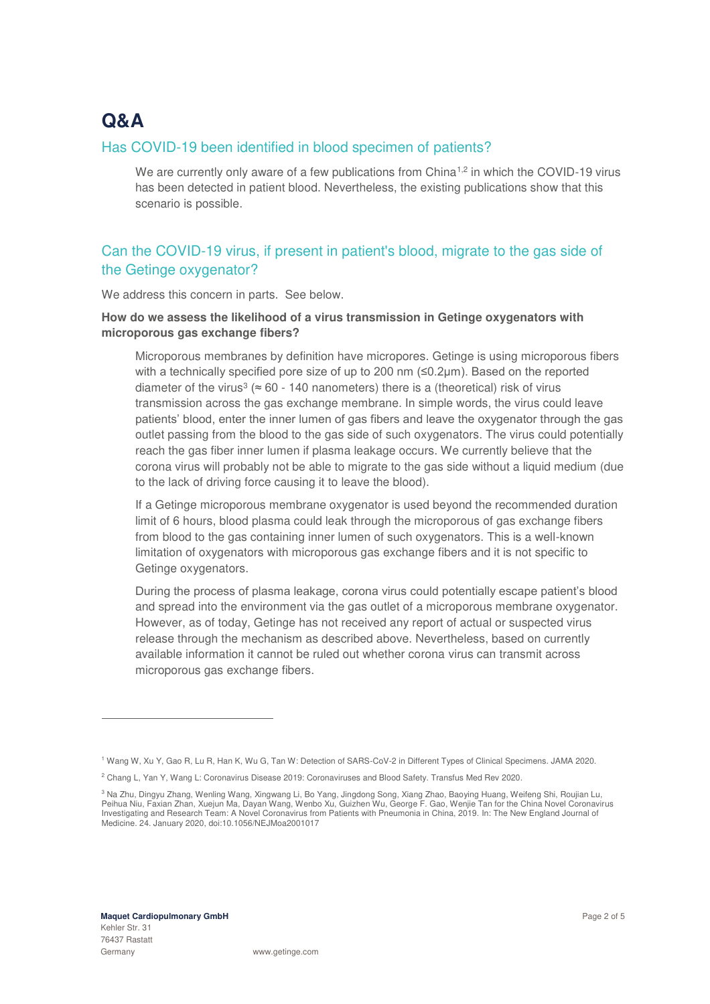# **Q&A**

### Has COVID-19 been identified in blood specimen of patients?

We are currently only aware of a few publications from China<sup>1,2</sup> in which the COVID-19 virus has been detected in patient blood. Nevertheless, the existing publications show that this scenario is possible.

# Can the COVID-19 virus, if present in patient's blood, migrate to the gas side of the Getinge oxygenator?

We address this concern in parts. See below.

### **How do we assess the likelihood of a virus transmission in Getinge oxygenators with microporous gas exchange fibers?**

Microporous membranes by definition have micropores. Getinge is using microporous fibers with a technically specified pore size of up to 200 nm (≤0.2µm). Based on the reported diameter of the virus<sup>3</sup> ( $\approx$  60 - 140 nanometers) there is a (theoretical) risk of virus transmission across the gas exchange membrane. In simple words, the virus could leave patients' blood, enter the inner lumen of gas fibers and leave the oxygenator through the gas outlet passing from the blood to the gas side of such oxygenators. The virus could potentially reach the gas fiber inner lumen if plasma leakage occurs. We currently believe that the corona virus will probably not be able to migrate to the gas side without a liquid medium (due to the lack of driving force causing it to leave the blood).

If a Getinge microporous membrane oxygenator is used beyond the recommended duration limit of 6 hours, blood plasma could leak through the microporous of gas exchange fibers from blood to the gas containing inner lumen of such oxygenators. This is a well-known limitation of oxygenators with microporous gas exchange fibers and it is not specific to Getinge oxygenators.

During the process of plasma leakage, corona virus could potentially escape patient's blood and spread into the environment via the gas outlet of a microporous membrane oxygenator. However, as of today, Getinge has not received any report of actual or suspected virus release through the mechanism as described above. Nevertheless, based on currently available information it cannot be ruled out whether corona virus can transmit across microporous gas exchange fibers.

-

<sup>1</sup> Wang W, Xu Y, Gao R, Lu R, Han K, Wu G, Tan W: Detection of SARS-CoV-2 in Different Types of Clinical Specimens. JAMA 2020.

<sup>2</sup> Chang L, Yan Y, Wang L: Coronavirus Disease 2019: Coronaviruses and Blood Safety. Transfus Med Rev 2020.

<sup>&</sup>lt;sup>3</sup> Na Zhu, Dingyu Zhang, Wenling Wang, Xingwang Li, Bo Yang, Jingdong Song, Xiang Zhao, Baoying Huang, Weifeng Shi, Roujian Lu, Peihua Niu, Faxian Zhan, Xuejun Ma, Dayan Wang, Wenbo Xu, Guizhen Wu, George F. Gao, Wenjie Tan for the China Novel Coronavirus Investigating and Research Team: A Novel Coronavirus from Patients with Pneumonia in China, 2019. In: The New England Journal of Medicine. 24. January 2020, doi:10.1056/NEJMoa2001017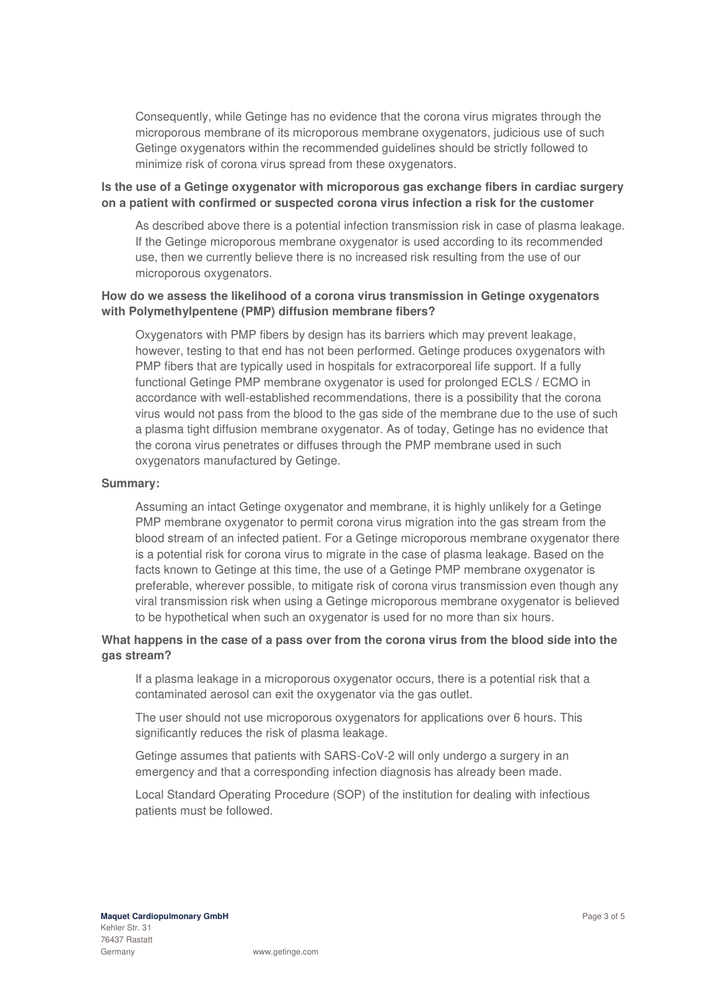Consequently, while Getinge has no evidence that the corona virus migrates through the microporous membrane of its microporous membrane oxygenators, judicious use of such Getinge oxygenators within the recommended guidelines should be strictly followed to minimize risk of corona virus spread from these oxygenators.

### **Is the use of a Getinge oxygenator with microporous gas exchange fibers in cardiac surgery on a patient with confirmed or suspected corona virus infection a risk for the customer**

As described above there is a potential infection transmission risk in case of plasma leakage. If the Getinge microporous membrane oxygenator is used according to its recommended use, then we currently believe there is no increased risk resulting from the use of our microporous oxygenators.

### **How do we assess the likelihood of a corona virus transmission in Getinge oxygenators with Polymethylpentene (PMP) diffusion membrane fibers?**

Oxygenators with PMP fibers by design has its barriers which may prevent leakage, however, testing to that end has not been performed. Getinge produces oxygenators with PMP fibers that are typically used in hospitals for extracorporeal life support. If a fully functional Getinge PMP membrane oxygenator is used for prolonged ECLS / ECMO in accordance with well-established recommendations, there is a possibility that the corona virus would not pass from the blood to the gas side of the membrane due to the use of such a plasma tight diffusion membrane oxygenator. As of today, Getinge has no evidence that the corona virus penetrates or diffuses through the PMP membrane used in such oxygenators manufactured by Getinge.

#### **Summary:**

Assuming an intact Getinge oxygenator and membrane, it is highly unlikely for a Getinge PMP membrane oxygenator to permit corona virus migration into the gas stream from the blood stream of an infected patient. For a Getinge microporous membrane oxygenator there is a potential risk for corona virus to migrate in the case of plasma leakage. Based on the facts known to Getinge at this time, the use of a Getinge PMP membrane oxygenator is preferable, wherever possible, to mitigate risk of corona virus transmission even though any viral transmission risk when using a Getinge microporous membrane oxygenator is believed to be hypothetical when such an oxygenator is used for no more than six hours.

### **What happens in the case of a pass over from the corona virus from the blood side into the gas stream?**

If a plasma leakage in a microporous oxygenator occurs, there is a potential risk that a contaminated aerosol can exit the oxygenator via the gas outlet.

The user should not use microporous oxygenators for applications over 6 hours. This significantly reduces the risk of plasma leakage.

Getinge assumes that patients with SARS-CoV-2 will only undergo a surgery in an emergency and that a corresponding infection diagnosis has already been made.

Local Standard Operating Procedure (SOP) of the institution for dealing with infectious patients must be followed.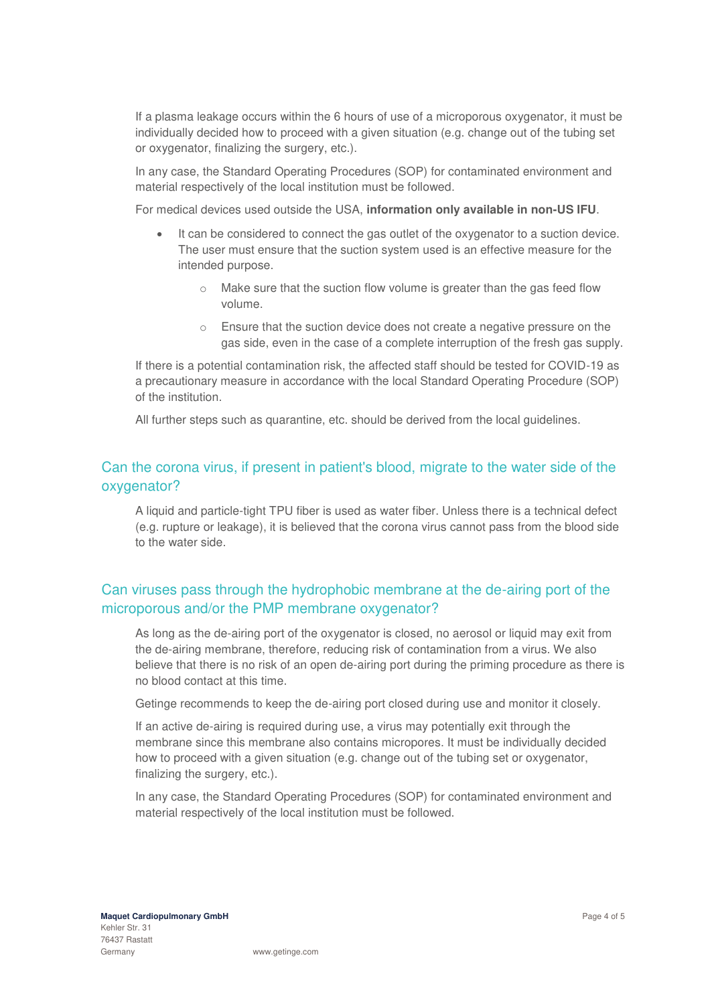If a plasma leakage occurs within the 6 hours of use of a microporous oxygenator, it must be individually decided how to proceed with a given situation (e.g. change out of the tubing set or oxygenator, finalizing the surgery, etc.).

In any case, the Standard Operating Procedures (SOP) for contaminated environment and material respectively of the local institution must be followed.

For medical devices used outside the USA, **information only available in non-US IFU**.

- It can be considered to connect the gas outlet of the oxygenator to a suction device. The user must ensure that the suction system used is an effective measure for the intended purpose.
	- o Make sure that the suction flow volume is greater than the gas feed flow volume.
	- o Ensure that the suction device does not create a negative pressure on the gas side, even in the case of a complete interruption of the fresh gas supply.

If there is a potential contamination risk, the affected staff should be tested for COVID-19 as a precautionary measure in accordance with the local Standard Operating Procedure (SOP) of the institution.

All further steps such as quarantine, etc. should be derived from the local guidelines.

## Can the corona virus, if present in patient's blood, migrate to the water side of the oxygenator?

A liquid and particle-tight TPU fiber is used as water fiber. Unless there is a technical defect (e.g. rupture or leakage), it is believed that the corona virus cannot pass from the blood side to the water side.

# Can viruses pass through the hydrophobic membrane at the de-airing port of the microporous and/or the PMP membrane oxygenator?

As long as the de-airing port of the oxygenator is closed, no aerosol or liquid may exit from the de-airing membrane, therefore, reducing risk of contamination from a virus. We also believe that there is no risk of an open de-airing port during the priming procedure as there is no blood contact at this time.

Getinge recommends to keep the de-airing port closed during use and monitor it closely.

If an active de-airing is required during use, a virus may potentially exit through the membrane since this membrane also contains micropores. It must be individually decided how to proceed with a given situation (e.g. change out of the tubing set or oxygenator, finalizing the surgery, etc.).

In any case, the Standard Operating Procedures (SOP) for contaminated environment and material respectively of the local institution must be followed.